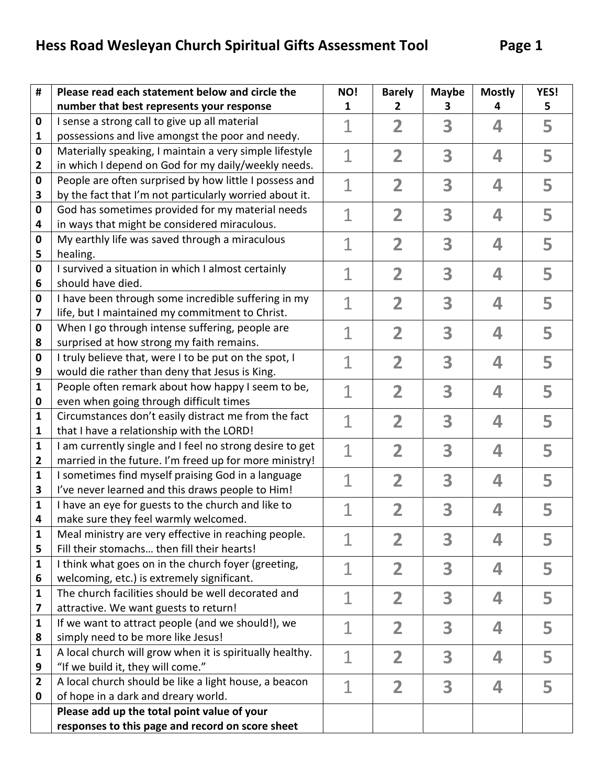| #                 | Please read each statement below and circle the                                                | NO!            | <b>Barely</b>           | <b>Maybe</b> | <b>Mostly</b> | YES! |
|-------------------|------------------------------------------------------------------------------------------------|----------------|-------------------------|--------------|---------------|------|
|                   | number that best represents your response                                                      | 1              | 2                       | з            | 4             | 5    |
| 0                 | I sense a strong call to give up all material                                                  | $\overline{1}$ | $\overline{\mathbf{2}}$ | 3            | 4             | 5    |
| $\mathbf{1}$      | possessions and live amongst the poor and needy.                                               |                |                         |              |               |      |
| 0                 | Materially speaking, I maintain a very simple lifestyle                                        | $\mathbf{1}$   | $\overline{\mathbf{2}}$ | 3            | 4             | 5    |
| $\mathbf{2}$      | in which I depend on God for my daily/weekly needs.                                            |                |                         |              |               |      |
| 0                 | People are often surprised by how little I possess and                                         | $\mathbf{1}$   | $\overline{\mathbf{2}}$ | 3            | 4             | 5    |
| 3                 | by the fact that I'm not particularly worried about it.                                        |                |                         |              |               |      |
| 0                 | God has sometimes provided for my material needs                                               | $\mathbf 1$    | $\overline{\mathbf{2}}$ | 3            | 4             | 5    |
| 4                 | in ways that might be considered miraculous.                                                   |                |                         |              |               |      |
| 0                 | My earthly life was saved through a miraculous                                                 | $\mathbf 1$    | 2                       | 3            | 4             | 5    |
| 5                 | healing.                                                                                       |                |                         |              |               |      |
| 0                 | I survived a situation in which I almost certainly                                             | $\overline{1}$ | $\overline{\mathbf{2}}$ | 3            | 4             | 5    |
| 6                 | should have died.                                                                              |                |                         |              |               |      |
| 0                 | I have been through some incredible suffering in my                                            | $\mathbf{1}$   | 2                       | 3            | 4             | 5    |
| 7<br>0            | life, but I maintained my commitment to Christ.                                                |                |                         |              |               |      |
| 8                 | When I go through intense suffering, people are<br>surprised at how strong my faith remains.   |                | $\overline{\mathbf{2}}$ | 3            | 4             | 5    |
| 0                 | I truly believe that, were I to be put on the spot, I                                          |                |                         |              |               |      |
| 9                 | would die rather than deny that Jesus is King.                                                 | 1<br>2         |                         | 3            | 4             | 5    |
| 1                 | People often remark about how happy I seem to be,                                              |                |                         |              |               |      |
| 0                 | even when going through difficult times                                                        |                | 2                       | 3            | 4             | 5    |
| 1                 | Circumstances don't easily distract me from the fact                                           |                |                         | 3            |               |      |
| 1                 | that I have a relationship with the LORD!                                                      | 1              | 2                       |              | 4             | 5    |
| 1                 | I am currently single and I feel no strong desire to get                                       |                | 2                       | 3            | 4             | 5    |
| $\mathbf{2}$      | married in the future. I'm freed up for more ministry!                                         |                |                         |              |               |      |
| 1                 | I sometimes find myself praising God in a language                                             |                | 2                       | 3            | 4             | 5    |
| 3                 | I've never learned and this draws people to Him!                                               |                |                         |              |               |      |
| $\mathbf{1}$      | I have an eye for guests to the church and like to                                             |                | 2                       | 3            | 4             | 5    |
| 4                 | make sure they feel warmly welcomed.                                                           |                |                         |              |               |      |
| 1                 | Meal ministry are very effective in reaching people.                                           | 1              | 2                       | 3            | 4             |      |
| 5                 | Fill their stomachs then fill their hearts!                                                    |                |                         |              |               |      |
| $\mathbf{1}$      | I think what goes on in the church foyer (greeting,                                            | 1              | $\overline{\mathbf{2}}$ | 3            | 4             | 5    |
| 6                 | welcoming, etc.) is extremely significant.                                                     |                |                         |              |               |      |
| $\mathbf{1}$      | The church facilities should be well decorated and                                             | 1              | $\overline{\mathbf{2}}$ | 3            | 4             | 5    |
| 7                 | attractive. We want guests to return!                                                          |                |                         |              |               |      |
| $\mathbf{1}$      | If we want to attract people (and we should!), we                                              | $\mathbf 1$    | $\overline{\mathbf{2}}$ | 3            | 4             | 5    |
| 8<br>$\mathbf{1}$ | simply need to be more like Jesus!<br>A local church will grow when it is spiritually healthy. |                | $\overline{\mathbf{2}}$ | 3            | 4             |      |
| 9                 | "If we build it, they will come."                                                              | $\mathbf{1}$   |                         |              |               | 5    |
| $\overline{2}$    | A local church should be like a light house, a beacon                                          |                |                         |              |               |      |
| 0                 | of hope in a dark and dreary world.                                                            | $\overline{1}$ | 2                       | 3            | 4             | 5    |
|                   | Please add up the total point value of your                                                    |                |                         |              |               |      |
|                   | responses to this page and record on score sheet                                               |                |                         |              |               |      |
|                   |                                                                                                |                |                         |              |               |      |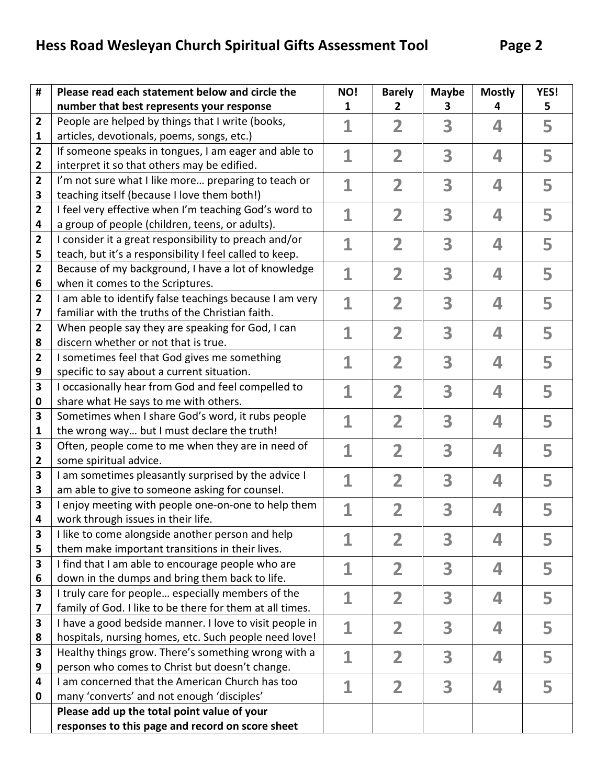| #                       | Please read each statement below and circle the                                          | NO!          | <b>Barely</b>           | <b>Maybe</b> | <b>Mostly</b> | YES! |
|-------------------------|------------------------------------------------------------------------------------------|--------------|-------------------------|--------------|---------------|------|
|                         | number that best represents your response                                                | 1            | $\mathbf{2}$            | з            | 4             | 5    |
| $\mathbf{2}$            | People are helped by things that I write (books,                                         | $\mathbf 1$  | $\overline{\mathbf{2}}$ | 3            | 4             | 5    |
| 1                       | articles, devotionals, poems, songs, etc.)                                               |              |                         |              |               |      |
| 2                       | If someone speaks in tongues, I am eager and able to                                     | $\mathbf 1$  | $\overline{\mathbf{2}}$ | 3            | 4             | 5    |
| 2                       | interpret it so that others may be edified.                                              |              |                         |              |               |      |
| $\overline{\mathbf{2}}$ | I'm not sure what I like more preparing to teach or                                      | $\mathbf 1$  | $\overline{\mathbf{2}}$ | 3            | 4             | 5    |
| 3                       | teaching itself (because I love them both!)                                              |              |                         |              |               |      |
| 2                       | I feel very effective when I'm teaching God's word to                                    | $\mathbf 1$  | $\overline{\mathbf{2}}$ | 3            | 4             | 5    |
| 4                       | a group of people (children, teens, or adults).                                          |              |                         |              |               |      |
| 2                       | I consider it a great responsibility to preach and/or                                    | 1            | 2                       | 3            | 4             | 5    |
| 5                       | teach, but it's a responsibility I feel called to keep.                                  |              |                         |              |               |      |
| 2                       | Because of my background, I have a lot of knowledge                                      | 1            | $\overline{\mathbf{2}}$ | 3            | 4             | 5    |
| 6                       | when it comes to the Scriptures.                                                         |              |                         |              |               |      |
| $\overline{2}$          | I am able to identify false teachings because I am very                                  | $\mathbf{1}$ | 2                       | 3            | 4             | 5    |
| 7                       | familiar with the truths of the Christian faith.                                         |              |                         |              |               |      |
| $\overline{2}$          | When people say they are speaking for God, I can<br>discern whether or not that is true. | 1            | $\overline{\mathbf{2}}$ | 3            | 4             | 5    |
| 8<br>$\overline{2}$     | I sometimes feel that God gives me something                                             |              |                         | 3            | 4             |      |
| 9                       | specific to say about a current situation.                                               | 1            | 2                       |              |               | 5    |
| 3                       | I occasionally hear from God and feel compelled to                                       |              |                         |              |               |      |
| 0                       | share what He says to me with others.                                                    | 1            | $\overline{\mathbf{2}}$ | 3            | 4             | 5    |
| 3                       | Sometimes when I share God's word, it rubs people                                        |              |                         |              |               |      |
| 1                       | the wrong way but I must declare the truth!                                              |              | 2                       | 3            | 4             | 5    |
| 3                       | Often, people come to me when they are in need of                                        |              | 2                       | 3            | 4             | 5    |
| 2                       | some spiritual advice.                                                                   |              |                         |              |               |      |
| 3                       | I am sometimes pleasantly surprised by the advice I                                      |              | 2                       | 3            | 4             | 5    |
| 3                       | am able to give to someone asking for counsel.                                           |              |                         |              |               |      |
| 3                       | I enjoy meeting with people one-on-one to help them                                      | 1            | $\overline{\mathbf{2}}$ | 3            | 4             | 5    |
| 4                       | work through issues in their life.                                                       |              |                         |              |               |      |
| 3                       | I like to come alongside another person and help                                         | 1            | $\overline{\mathbf{2}}$ | 3            | 4             | 5    |
| 5                       | them make important transitions in their lives.                                          |              |                         |              |               |      |
| 3                       | I find that I am able to encourage people who are                                        | 1            | $\overline{\mathbf{2}}$ | 3            | 4             | 5    |
| 6                       | down in the dumps and bring them back to life.                                           |              |                         |              |               |      |
| 3                       | I truly care for people especially members of the                                        | 1            | $\overline{\mathbf{2}}$ | 3            | 4             | 5    |
| 7                       | family of God. I like to be there for them at all times.                                 |              |                         |              |               |      |
| 3                       | I have a good bedside manner. I love to visit people in                                  | $\mathbf 1$  | $\overline{2}$          | 3            | 4             | 5    |
| 8                       | hospitals, nursing homes, etc. Such people need love!                                    |              |                         |              |               |      |
| 3                       | Healthy things grow. There's something wrong with a                                      | $\mathbf 1$  | $\overline{\mathbf{2}}$ | 3            | 4             | 5    |
| 9                       | person who comes to Christ but doesn't change.                                           |              |                         |              |               |      |
| 4                       | I am concerned that the American Church has too                                          | 1            | $\overline{\mathbf{2}}$ | 3            | 4             | 5    |
| 0                       | many 'converts' and not enough 'disciples'                                               |              |                         |              |               |      |
|                         | Please add up the total point value of your                                              |              |                         |              |               |      |
|                         | responses to this page and record on score sheet                                         |              |                         |              |               |      |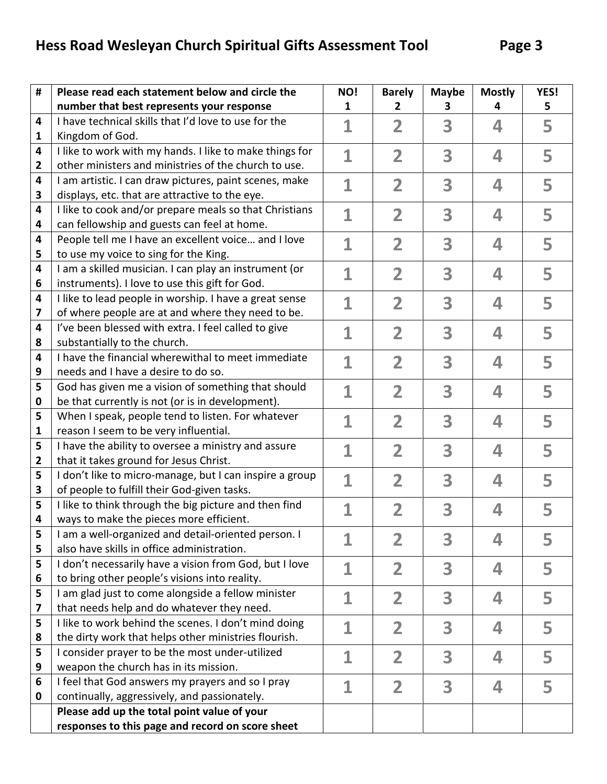| #                       | Please read each statement below and circle the                                                   | NO!          | <b>Barely</b>           | <b>Maybe</b> | <b>Mostly</b> | YES! |
|-------------------------|---------------------------------------------------------------------------------------------------|--------------|-------------------------|--------------|---------------|------|
|                         | number that best represents your response                                                         | $\mathbf{1}$ | $\mathbf{2}$            | з            | 4             | 5    |
| 4                       | I have technical skills that I'd love to use for the                                              | 1            | $\overline{\mathbf{2}}$ | 3            | 4             | 5    |
| 1                       | Kingdom of God.                                                                                   |              |                         |              |               |      |
| 4                       | I like to work with my hands. I like to make things for                                           | $\mathbf{1}$ | $\overline{\mathbf{2}}$ | 3            | 4             | 5    |
| 2                       | other ministers and ministries of the church to use.                                              |              |                         |              |               |      |
| 4                       | I am artistic. I can draw pictures, paint scenes, make                                            | $\mathbf 1$  | $\overline{\mathbf{2}}$ | 3            | 4             | 5    |
| 3                       | displays, etc. that are attractive to the eye.                                                    |              |                         |              |               |      |
| 4                       | I like to cook and/or prepare meals so that Christians                                            | $\mathbf 1$  | $\overline{\mathbf{2}}$ | 3            | 4             | 5    |
| 4                       | can fellowship and guests can feel at home.                                                       |              |                         |              |               |      |
| 4                       | People tell me I have an excellent voice and I love                                               | $\mathbf 1$  | 2                       | 3            | 4             | 5    |
| 5                       | to use my voice to sing for the King.                                                             |              |                         |              |               |      |
| 4                       | I am a skilled musician. I can play an instrument (or                                             | 1            | $\overline{\mathbf{2}}$ | 3            | 4             | 5    |
| 6                       | instruments). I love to use this gift for God.                                                    |              |                         |              |               |      |
| 4                       | I like to lead people in worship. I have a great sense                                            | 1            | 2                       | 3            | 4             | 5    |
| 7                       | of where people are at and where they need to be.                                                 |              |                         |              |               |      |
| 4                       | I've been blessed with extra. I feel called to give                                               | 1            | $\overline{\mathbf{2}}$ | 3            | 4             | 5    |
| 8                       | substantially to the church.                                                                      |              |                         |              |               |      |
| $\overline{\mathbf{4}}$ | I have the financial wherewithal to meet immediate                                                | 1            | 2                       | 3            | 4             | 5    |
| 9                       | needs and I have a desire to do so.                                                               |              |                         |              |               |      |
| 5                       | God has given me a vision of something that should                                                | 1            | $\overline{\mathbf{2}}$ | 3            | 4             | 5    |
| 0                       | be that currently is not (or is in development).                                                  |              |                         |              |               |      |
| 5                       | When I speak, people tend to listen. For whatever                                                 | 1            | 2                       | 3            | 4             | 5    |
| 1                       | reason I seem to be very influential.                                                             |              |                         |              |               |      |
| 5<br>2                  | I have the ability to oversee a ministry and assure                                               | 1            | $\overline{\mathbf{2}}$ | 3            | 4             | 5    |
| 5                       | that it takes ground for Jesus Christ.<br>I don't like to micro-manage, but I can inspire a group |              |                         |              |               |      |
| 3                       | of people to fulfill their God-given tasks.                                                       | 1            | 2                       | 3            | 4             | 5    |
| 5                       | I like to think through the big picture and then find                                             |              | $\overline{\mathbf{2}}$ | 3            | 4             |      |
| 4                       | ways to make the pieces more efficient.                                                           |              |                         |              |               | 5    |
| 5                       | I am a well-organized and detail-oriented person. I                                               |              |                         |              |               |      |
| 5                       | also have skills in office administration.                                                        | 1            | $\overline{\mathbf{2}}$ | 3            | 4             | 5    |
| 5                       | I don't necessarily have a vision from God, but I love                                            |              |                         |              |               |      |
| 6                       | to bring other people's visions into reality.                                                     | 1            | $\overline{\mathbf{2}}$ | 3            | 4             | 5    |
| 5                       | I am glad just to come alongside a fellow minister                                                |              |                         |              |               |      |
| 7                       | that needs help and do whatever they need.                                                        | 1            | $\overline{\mathbf{2}}$ | 3            | 4             | 5    |
| 5                       | I like to work behind the scenes. I don't mind doing                                              | $\mathbf 1$  | $\overline{2}$          | 3            | 4             | 5    |
| 8                       | the dirty work that helps other ministries flourish.                                              |              |                         |              |               |      |
| 5                       | I consider prayer to be the most under-utilized                                                   | 1            | $\overline{\mathbf{2}}$ | 3            | 4             | 5    |
| 9                       | weapon the church has in its mission.                                                             |              |                         |              |               |      |
| 6                       | I feel that God answers my prayers and so I pray                                                  | 1            | $\overline{\mathbf{2}}$ | 3            | 4             | 5    |
| 0                       | continually, aggressively, and passionately.                                                      |              |                         |              |               |      |
|                         | Please add up the total point value of your                                                       |              |                         |              |               |      |
|                         | responses to this page and record on score sheet                                                  |              |                         |              |               |      |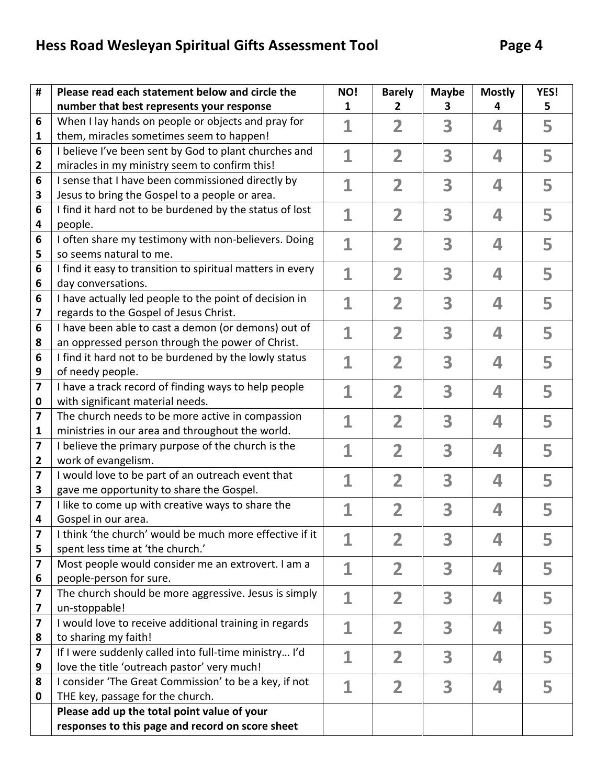| #                       | Please read each statement below and circle the                           | NO!          | <b>Barely</b>                 | <b>Maybe</b> | <b>Mostly</b> | YES! |
|-------------------------|---------------------------------------------------------------------------|--------------|-------------------------------|--------------|---------------|------|
|                         | number that best represents your response                                 | 1            | 2                             | 3            | 4             | 5    |
| 6                       | When I lay hands on people or objects and pray for                        | $\mathbf 1$  | $\overline{\mathbf{2}}$       | 3            | 4             | 5    |
| 1                       | them, miracles sometimes seem to happen!                                  |              |                               |              |               |      |
| 6                       | I believe I've been sent by God to plant churches and                     | 1            | $\overline{\mathbf{2}}$       | 3            | 4             | 5    |
| 2                       | miracles in my ministry seem to confirm this!                             |              |                               |              |               |      |
| 6                       | I sense that I have been commissioned directly by                         | 1            | $\overline{\mathbf{2}}$       | 3            | 4             | 5    |
| 3                       | Jesus to bring the Gospel to a people or area.                            |              |                               |              |               |      |
| 6                       | I find it hard not to be burdened by the status of lost                   | $\mathbf 1$  | $\overline{\mathbf{2}}$       | 3            | 4             | 5    |
| 4                       | people.                                                                   |              |                               |              |               |      |
| 6                       | I often share my testimony with non-believers. Doing                      | 1            | $\overline{\mathbf{2}}$       | 3            | 4             | 5    |
| 5                       | so seems natural to me.                                                   |              |                               |              |               |      |
| 6                       | I find it easy to transition to spiritual matters in every                | $\mathbf{1}$ | $\overline{\mathbf{2}}$       | 3            | 4             | 5    |
| 6                       | day conversations.                                                        |              |                               |              |               |      |
| 6                       | I have actually led people to the point of decision in                    | $\mathbf 1$  | 2                             | 3            | 4             | 5    |
| 7                       | regards to the Gospel of Jesus Christ.                                    |              |                               |              |               |      |
| 6                       | I have been able to cast a demon (or demons) out of                       | 1            | $\overline{\mathbf{2}}$       | 3            | 4             | 5    |
| 8                       | an oppressed person through the power of Christ.                          |              |                               |              |               |      |
| 6                       | I find it hard not to be burdened by the lowly status                     |              | 2                             | 3            | 4             | 5    |
| 9                       | of needy people.                                                          |              |                               |              |               |      |
| 7                       | I have a track record of finding ways to help people                      | 1            | $\overline{\mathbf{2}}$       | 3            | 4             | 5    |
| $\mathbf 0$             | with significant material needs.                                          |              |                               |              |               |      |
| 7                       | The church needs to be more active in compassion                          | 1            | $\overline{2}$                | 3            | 4             | 5    |
| 1<br>7                  | ministries in our area and throughout the world.                          |              |                               |              |               |      |
| $\overline{2}$          | I believe the primary purpose of the church is the<br>work of evangelism. | 1            | $\overline{\mathbf{2}}$       | 3            | 4             | 5    |
| $\overline{\mathbf{z}}$ | I would love to be part of an outreach event that                         |              |                               |              |               |      |
| 3                       | gave me opportunity to share the Gospel.                                  | 1            | $\overline{\mathbf{2}}$       | 3            | 4             | 5    |
| 7                       | I like to come up with creative ways to share the                         |              |                               |              |               |      |
| 4                       | Gospel in our area.                                                       | $\mathbf 1$  | $\overline{\mathbf{2}}$       | 3            | 4             | 5    |
| 7                       | I think 'the church' would be much more effective if it                   |              |                               |              |               |      |
| 5                       | spent less time at 'the church.'                                          | 1            | 2                             | 3            | 4             | 5    |
| 7                       | Most people would consider me an extrovert. I am a                        |              |                               |              |               |      |
| 6                       | people-person for sure.                                                   | 1            | $\overline{\mathbf{2}}$       | 3            | 4             | 5    |
| 7                       | The church should be more aggressive. Jesus is simply                     | $\mathbf{1}$ | $\overline{\mathbf{2}}$       | 3            | 4             | 5    |
| 7                       | un-stoppable!                                                             |              |                               |              |               |      |
| $\overline{\mathbf{z}}$ | I would love to receive additional training in regards                    | 1            | $\overline{2}$                | 3            | 4             | 5    |
| 8                       | to sharing my faith!                                                      |              |                               |              |               |      |
| $\overline{\mathbf{z}}$ | If I were suddenly called into full-time ministry I'd                     |              | $\mathbf 1$<br>$\overline{2}$ | 3            | 4             | 5    |
| 9                       | love the title 'outreach pastor' very much!                               |              |                               |              |               |      |
| 8                       | I consider 'The Great Commission' to be a key, if not                     | 1            | $\overline{2}$                | 3            | 4             | 5    |
| 0                       | THE key, passage for the church.                                          |              |                               |              |               |      |
|                         | Please add up the total point value of your                               |              |                               |              |               |      |
|                         | responses to this page and record on score sheet                          |              |                               |              |               |      |